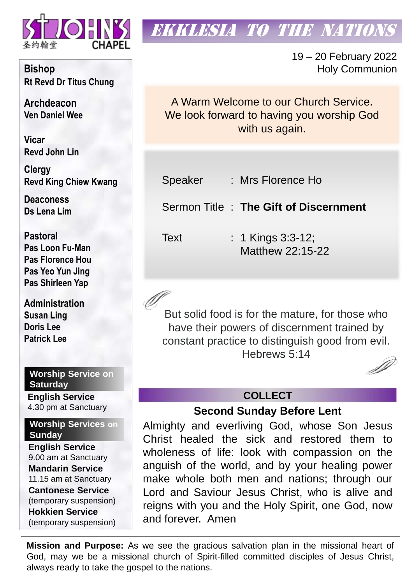

# **EKKLESIA TO THE NATION**

19 – 20 February 2022 Holy Communion

A Warm Welcome to our Church Service. We look forward to having you worship God with us again.

Speaker : Mrs Florence Ho

Sermon Title : **The Gift of Discernment** 

Text : 1 Kings 3:3-12; Matthew 22:15-22

But solid food is for the mature, for those who have their powers of discernment trained by constant practice to distinguish good from evil. Hebrews 5:14

# **COLLECT**

**Second Sunday Before Lent**

Almighty and everliving God, whose Son Jesus Christ healed the sick and restored them to wholeness of life: look with compassion on the anguish of the world, and by your healing power make whole both men and nations; through our Lord and Saviour Jesus Christ, who is alive and reigns with you and the Holy Spirit, one God, now and forever. Amen

**Mission and Purpose:** As we see the gracious salvation plan in the missional heart of God, may we be a missional church of Spirit-filled committed disciples of Jesus Christ, always ready to take the gospel to the nations.

**Bishop Rt Revd Dr Titus Chung**

**Archdeacon Ven Daniel Wee**

**Vicar Revd John Lin** 

**Clergy Revd King Chiew Kwang**

**Deaconess Ds Lena Lim**

**Pastoral Pas Loon Fu-Man Pas Florence Hou Pas Yeo Yun Jing Pas Shirleen Yap**

**Administration Susan Ling Doris Lee Patrick Lee**

**Worship Service on Saturday English Service** 

4.30 pm at Sanctuary

**Worship Services on Sunday**

**English Service** 9.00 am at Sanctuary **Mandarin Service** 11.15 am at Sanctuary **Cantonese Service** (temporary suspension) **Hokkien Service** (temporary suspension)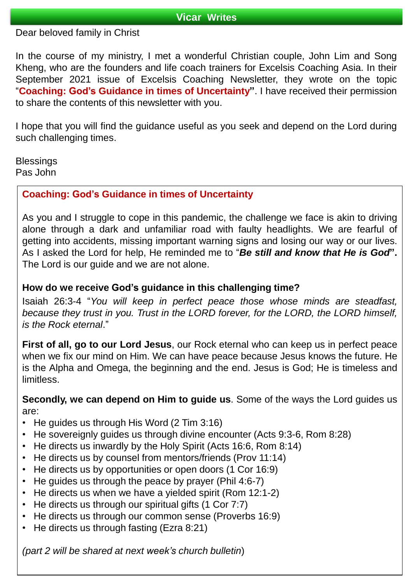#### **Vicar Writes**

Dear beloved family in Christ

In the course of my ministry, I met a wonderful Christian couple, John Lim and Song Kheng, who are the founders and life coach trainers for Excelsis Coaching Asia. In their September 2021 issue of Excelsis Coaching Newsletter, they wrote on the topic "**Coaching: God's Guidance in times of Uncertainty"**. I have received their permission to share the contents of this newsletter with you.

I hope that you will find the guidance useful as you seek and depend on the Lord during such challenging times.

**Blessings** Pas John

# **Coaching: God's Guidance in times of Uncertainty**

As you and I struggle to cope in this pandemic, the challenge we face is akin to driving alone through a dark and unfamiliar road with faulty headlights. We are fearful of getting into accidents, missing important warning signs and losing our way or our lives. As I asked the Lord for help, He reminded me to "*Be still and know that He is God***".** The Lord is our guide and we are not alone.

## **How do we receive God's guidance in this challenging time?**

Isaiah 26:3-4 "*You will keep in perfect peace those whose minds are steadfast, because they trust in you. Trust in the LORD forever, for the LORD, the LORD himself, is the Rock eternal*."

**First of all, go to our Lord Jesus**, our Rock eternal who can keep us in perfect peace when we fix our mind on Him. We can have peace because Jesus knows the future. He is the Alpha and Omega, the beginning and the end. Jesus is God; He is timeless and limitless.

**Secondly, we can depend on Him to guide us**. Some of the ways the Lord guides us are:

- He guides us through His Word (2 Tim 3:16)
- He sovereignly guides us through divine encounter (Acts 9:3-6, Rom 8:28)
- He directs us inwardly by the Holy Spirit (Acts 16:6, Rom 8:14)
- He directs us by counsel from mentors/friends (Prov 11:14)
- He directs us by opportunities or open doors (1 Cor 16:9)
- He guides us through the peace by prayer (Phil 4:6-7)
- He directs us when we have a yielded spirit (Rom 12:1-2)
- He directs us through our spiritual gifts (1 Cor 7:7)
- He directs us through our common sense (Proverbs 16:9)
- He directs us through fasting (Ezra 8:21)

*(part 2 will be shared at next week's church bulletin*)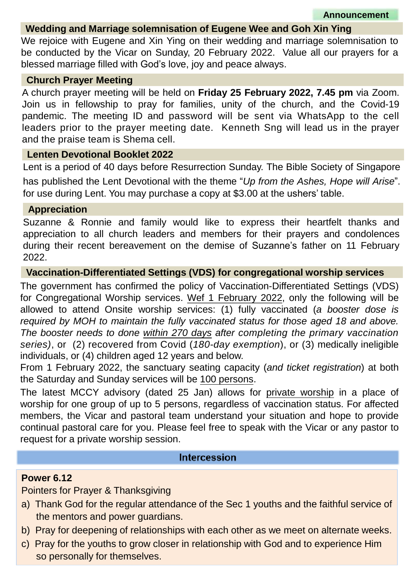## **Wedding and Marriage solemnisation of Eugene Wee and Goh Xin Ying**

We rejoice with Eugene and Xin Ying on their wedding and marriage solemnisation to be conducted by the Vicar on Sunday, 20 February 2022. Value all our prayers for a blessed marriage filled with God's love, joy and peace always.

#### **Church Prayer Meeting**

A church prayer meeting will be held on **Friday 25 February 2022, 7.45 pm** via Zoom. Join us in fellowship to pray for families, unity of the church, and the Covid-19 pandemic. The meeting ID and password will be sent via WhatsApp to the cell leaders prior to the prayer meeting date. Kenneth Sng will lead us in the prayer and the praise team is Shema cell.

#### **Lenten Devotional Booklet 2022**

Lent is a period of 40 days before Resurrection Sunday. The Bible Society of Singapore has published the Lent Devotional with the theme "*Up from the Ashes, Hope will Arise*". for use during Lent. You may purchase a copy at \$3.00 at the ushers' table.

# **Appreciation**

Suzanne & Ronnie and family would like to express their heartfelt thanks and appreciation to all church leaders and members for their prayers and condolences during their recent bereavement on the demise of Suzanne's father on 11 February 2022.

#### **Vaccination-Differentiated Settings (VDS) for congregational worship services**

The government has confirmed the policy of Vaccination-Differentiated Settings (VDS) for Congregational Worship services. Wef 1 February 2022, only the following will be allowed to attend Onsite worship services: (1) fully vaccinated (*a booster dose is required by MOH to maintain the fully vaccinated status for those aged 18 and above. The booster needs to done within 270 days after completing the primary vaccination series)*, or (2) recovered from Covid (*180-day exemption*), or (3) medically ineligible individuals, or (4) children aged 12 years and below.

From 1 February 2022, the sanctuary seating capacity (*and ticket registration*) at both the Saturday and Sunday services will be 100 persons.

The latest MCCY advisory (dated 25 Jan) allows for private worship in a place of worship for one group of up to 5 persons, regardless of vaccination status. For affected members, the Vicar and pastoral team understand your situation and hope to provide continual pastoral care for you. Please feel free to speak with the Vicar or any pastor to request for a private worship session.

#### **Intercession**

#### **Power 6.12**

# Pointers for Prayer & Thanksgiving

- a) Thank God for the regular attendance of the Sec 1 youths and the faithful service of the mentors and power guardians.
- b) Pray for deepening of relationships with each other as we meet on alternate weeks.
- c) Pray for the youths to grow closer in relationship with God and to experience Him so personally for themselves.